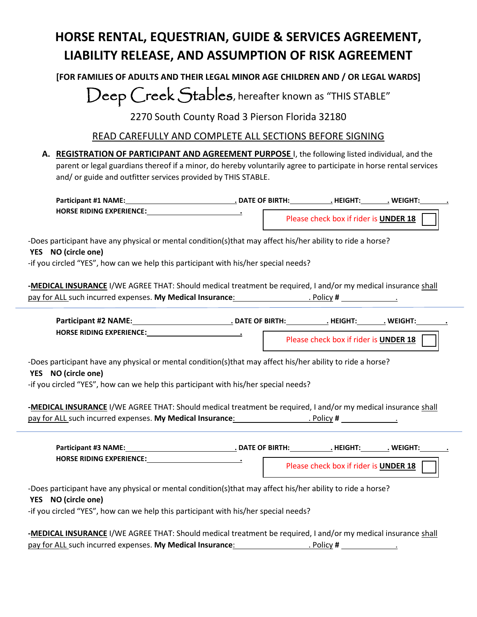# **HORSE RENTAL, EQUESTRIAN, GUIDE & SERVICES AGREEMENT, LIABILITY RELEASE, AND ASSUMPTION OF RISK AGREEMENT**

**[FOR FAMILIES OF ADULTS AND THEIR LEGAL MINOR AGE CHILDREN AND / OR LEGAL WARDS]**

Deep Creek Stables, hereafter known as "THIS STABLE"

2270 South County Road 3 Pierson Florida 32180

# READ CAREFULLY AND COMPLETE ALL SECTIONS BEFORE SIGNING

**A. REGISTRATION OF PARTICIPANT AND AGREEMENT PURPOSE** I, the following listed individual, and the parent or legal guardians thereof if a minor, do hereby voluntarily agree to participate in horse rental services and/ or guide and outfitter services provided by THIS STABLE.

| <b>Participant #1 NAME:</b>     | <b>DATE OF BIRTH:</b> | <b>HFIGHT</b>                         | WEIGHT: |  |
|---------------------------------|-----------------------|---------------------------------------|---------|--|
| <b>HORSE RIDING EXPERIENCE:</b> |                       | Please check box if rider is UNDER 18 |         |  |

-Does participant have any physical or mental condition(s)that may affect his/her ability to ride a horse?

### **YES NO (circle one)**

-if you circled "YES", how can we help this participant with his/her special needs?

**-MEDICAL INSURANCE** I/WE AGREE THAT: Should medical treatment be required, I and/or my medical insurance shall pay for ALL such incurred expenses. **My Medical Insurance**: **. The act of the Section Provident** Control of the section of the section of the section of the section of the section of the section of the section of the secti

| <b>Participant #2 NAME:</b>     | . DATE OF BIRTH: | . HEIGHT                              | <b>WEIGHT:</b> |  |
|---------------------------------|------------------|---------------------------------------|----------------|--|
| <b>HORSE RIDING EXPERIENCE:</b> |                  | Please check box if rider is UNDER 18 |                |  |

-Does participant have any physical or mental condition(s)that may affect his/her ability to ride a horse?

### **YES NO (circle one)**

-if you circled "YES", how can we help this participant with his/her special needs?

**-MEDICAL INSURANCE** I/WE AGREE THAT: Should medical treatment be required, I and/or my medical insurance shall pay for ALL such incurred expenses. **My Medical Insurance**: . Policy **#** .

| <b>Participant #3 NAME:</b>     | <b>DATE OF BIRTH:</b> | HFIGHT                                       | <b>WFIGHT</b> |
|---------------------------------|-----------------------|----------------------------------------------|---------------|
| <b>HORSE RIDING EXPERIENCE:</b> |                       | Please check box if rider is <b>UNDER 18</b> |               |

-Does participant have any physical or mental condition(s)that may affect his/her ability to ride a horse?

**YES NO (circle one)**

-if you circled "YES", how can we help this participant with his/her special needs?

**-MEDICAL INSURANCE** I/WE AGREE THAT: Should medical treatment be required, I and/or my medical insurance shall pay for ALL such incurred expenses. **My Medical Insurance**: . Policy **#** .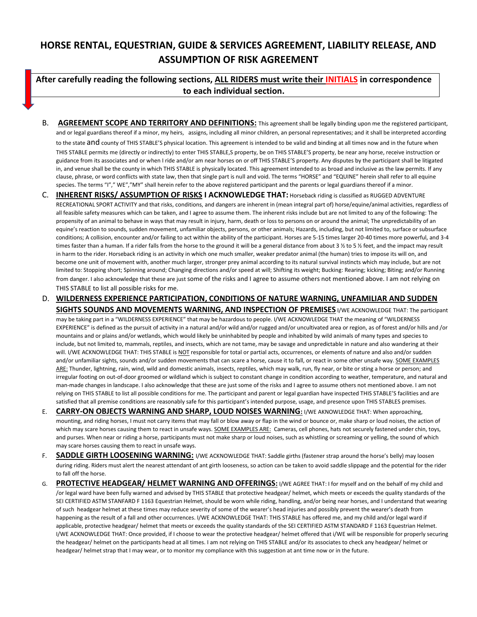# **HORSE RENTAL, EQUESTRIAN, GUIDE & SERVICES AGREEMENT, LIABILITY RELEASE, AND ASSUMPTION OF RISK AGREEMENT**

## **After carefully reading the following sections, ALL RIDERS must write their INITIALS in correspondence to each individual section.**

- B. **AGREEMENT SCOPE AND TERRITORY AND DEFINITIONS:** This agreement shall be legally binding upon me the registered participant, and or legal guardians thereof if a minor, my heirs, assigns, including all minor children, an personal representatives; and it shall be interpreted according to the state and county of THIS STABLE'S physical location. This agreement is intended to be valid and binding at all times now and in the future when THIS STABLE permits me (directly or indirectly) to enter THIS STABLE,S property, be on THIS STABLE'S property, be near any horse, receive instruction or guidance from its associates and or when I ride and/or am near horses on or off THIS STABLE'S property. Any disputes by the participant shall be litigated in, and venue shall be the county in which THIS STABLE is physically located. This agreement intended to as broad and inclusive as the law permits. If any clause, phrase, or word conflicts with state law, then that single part is null and void. The terms "HORSE" and "EQUINE" herein shall refer to all equine species. The terms "I"," WE","MY" shall herein refer to the above registered participant and the parents or legal guardians thereof if a minor.
- C. **INHERENT RISKS/ ASSUMPTION OF RISKS I ACKNOWLEDGE THAT:** Horseback riding is classified as RUGGED ADVENTURE RECREATIONAL SPORT ACTIVITY and that risks, conditions, and dangers are inherent in (mean integral part of) horse/equine/animal activities, regardless of all feasible safety measures which can be taken, and I agree to assume them. The inherent risks include but are not limited to any of the following: The propensity of an animal to behave in ways that may result in injury, harm, death or loss to persons on or around the animal; The unpredictability of an equine's reaction to sounds, sudden movement, unfamiliar objects, persons, or other animals; Hazards, including, but not limited to, surface or subsurface conditions; A collision, encounter and/or failing to act within the ability of the participant. Horses are 5-15 times larger 20-40 times more powerful, and 3-4 times faster than a human. If a rider falls from the horse to the ground it will be a general distance from about 3 1/2 to 5 1/2 feet, and the impact may result in harm to the rider. Horseback riding is an activity in which one much smaller, weaker predator animal (the human) tries to impose its will on, and become one unit of movement with, another much larger, stronger prey animal according to its natural survival instincts which may include, but are not limited to: Stopping short; Spinning around; Changing directions and/or speed at will; Shifting its weight; Bucking: Rearing; kicking; Biting; and/or Running from danger. I also acknowledge that these are just some of the risks and I agree to assume others not mentioned above. I am not relying on THIS STABLE to list all possible risks for me.
- D. **WILDERNESS EXPERIENCE PARTICIPATION, CONDITIONS OF NATURE WARNING, UNFAMILIAR AND SUDDEN SIGHTS SOUNDS AND MOVEMENTS WARNING, AND INSPECTION OF PREMISES** I/WE ACKNOWLEDGE THAT: The participant may be taking part in a "WILDERNESS EXPERIENCE" that may be hazardous to people. I/WE ACKNOWLEDGE THAT the meaning of "WILDERNESS EXPERIENCE" is defined as the pursuit of activity in a natural and/or wild and/or rugged and/or uncultivated area or region, as of forest and/or hills and /or mountains and or plains and/or wetlands, which would likely be uninhabited by people and inhabited by wild animals of many types and species to include, but not limited to, mammals, reptiles, and insects, which are not tame, may be savage and unpredictable in nature and also wandering at their will. I/WE ACKNOWLEDGE THAT: THIS STABLE is NOT responsible for total or partial acts, occurrences, or elements of nature and also and/or sudden and/or unfamiliar sights, sounds and/or sudden movements that can scare a horse, cause it to fall, or react in some other unsafe way. SOME EXAMPLES ARE: Thunder, lightning, rain, wind, wild and domestic animals, insects, reptiles, which may walk, run, fly near, or bite or sting a horse or person; and irregular footing on out-of-door groomed or wildland which is subject to constant change in condition according to weather, temperature, and natural and man-made changes in landscape. I also acknowledge that these are just some of the risks and I agree to assume others not mentioned above. I am not relying on THIS STABLE to list all possible conditions for me. The participant and parent or legal guardian have inspected THIS STABLE'S facilities and are satisfied that all premise conditions are reasonably safe for this participant's intended purpose, usage, and presence upon THIS STABLES premises.
- E. **CARRY-ON OBJECTS WARNING AND SHARP, LOUD NOISES WARNING:** I/WE AKNOWLEDGE THAT: When approaching, mounting, and riding horses, I must not carry items that may fall or blow away or flap in the wind or bounce or, make sharp or loud noises, the action of which may scare horses causing them to react in unsafe ways. SOME EXAMPLES ARE: Cameras, cell phones, hats not securely fastened under chin, toys, and purses. When near or riding a horse, participants must not make sharp or loud noises, such as whistling or screaming or yelling, the sound of which may scare horses causing them to react in unsafe ways.
- F. **SADDLE GIRTH LOOSENING WARNING:** I/WE ACKNOWLEDGE THAT: Saddle girths (fastener strap around the horse's belly) may loosen during riding. Riders must alert the nearest attendant of ant girth looseness, so action can be taken to avoid saddle slippage and the potential for the rider to fall off the horse.
- G. **PROTECTIVE HEADGEAR/ HELMET WARNING AND OFFERINGS:** I/WE AGREE THAT: I for myself and on the behalf of my child and /or legal ward have been fully warned and advised by THIS STABLE that protective headgear/ helmet, which meets or exceeds the quality standards of the SEI CERTIFIED ASTM STANFARD F 1163 Equestrian Helmet, should be worn while riding, handling, and/or being near horses, and I understand that wearing of such headgear helmet at these times may reduce severity of some of the wearer's head injuries and possibly prevent the wearer's death from happening as the result of a fall and other occurrences. I/WE ACKNOWLEDGE THAT: THIS STABLE has offered me, and my child and/or legal ward if applicable, protective headgear/ helmet that meets or exceeds the quality standards of the SEI CERTIFIED ASTM STANDARD F 1163 Equestrian Helmet. I/WE ACKNOWLEDGE THAT: Once provided, if I choose to wear the protective headgear/ helmet offered that i/WE will be responsible for properly securing the headgear/ helmet on the participants head at all times. I am not relying on THIS STABLE and/or its associates to check any headgear/ helmet or headgear/ helmet strap that I may wear, or to monitor my compliance with this suggestion at ant time now or in the future.